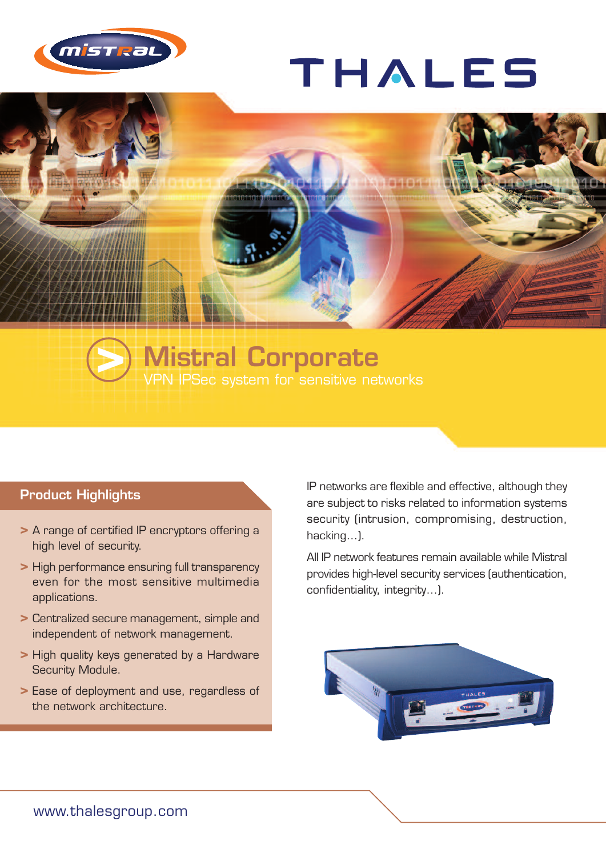

## THALES



## **Mistral Corporate >** VPN IPSec system for sensitive networks

## **Product Highlights**

- **>** A range of certified IP encryptors offering a high level of security.
- **>** High performance ensuring full transparency even for the most sensitive multimedia applications.
- **>** Centralized secure management, simple and independent of network management.
- **>** High quality keys generated by a Hardware Security Module.
- **>** Ease of deployment and use, regardless of the network architecture.

IP networks are flexible and effective, although they are subject to risks related to information systems security (intrusion, compromising, destruction, hacking…).

All IP network features remain available while Mistral provides high-level security services (authentication, confidentiality, integrity…).